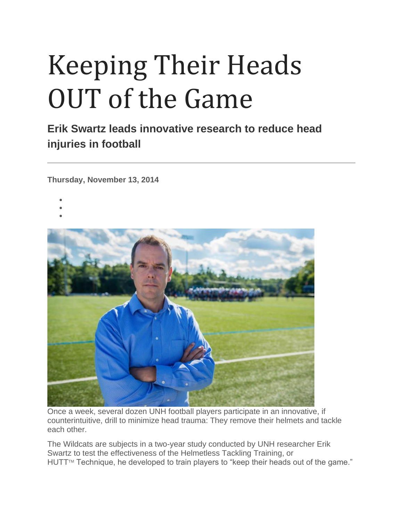## Keeping Their Heads OUT of the Game

**Erik Swartz leads innovative research to reduce head injuries in football**

**Thursday, November 13, 2014**

- •
- 
- •



Once a week, several dozen UNH football players participate in an innovative, if counterintuitive, drill to minimize head trauma: They remove their helmets and tackle each other.

The Wildcats are subjects in a two-year study conducted by UNH researcher Erik Swartz to test the effectiveness of the Helmetless Tackling Training, or HUTT™ Technique, he developed to train players to "keep their heads out of the game."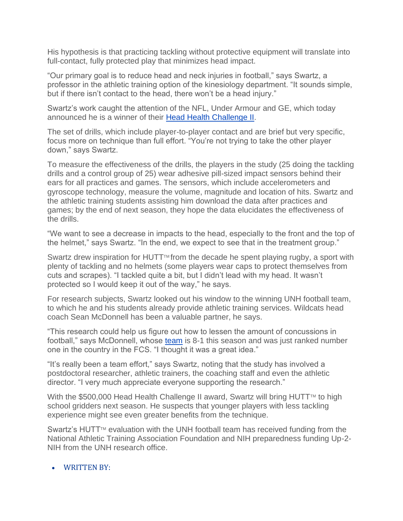His hypothesis is that practicing tackling without protective equipment will translate into full-contact, fully protected play that minimizes head impact.

"Our primary goal is to reduce head and neck injuries in football," says Swartz, a professor in the athletic training option of the kinesiology department. "It sounds simple, but if there isn't contact to the head, there won't be a head injury."

Swartz's work caught the attention of the NFL, Under Armour and GE, which today announced he is a winner of their [Head Health Challenge II.](http://www.headhealthchallenge.com/)

The set of drills, which include player-to-player contact and are brief but very specific, focus more on technique than full effort. "You're not trying to take the other player down," says Swartz.

To measure the effectiveness of the drills, the players in the study (25 doing the tackling drills and a control group of 25) wear adhesive pill-sized impact sensors behind their ears for all practices and games. The sensors, which include accelerometers and gyroscope technology, measure the volume, magnitude and location of hits. Swartz and the athletic training students assisting him download the data after practices and games; by the end of next season, they hope the data elucidates the effectiveness of the drills.

"We want to see a decrease in impacts to the head, especially to the front and the top of the helmet," says Swartz. "In the end, we expect to see that in the treatment group."

Swartz drew inspiration for HUTT<sup> $M$ </sup> from the decade he spent playing rugby, a sport with plenty of tackling and no helmets (some players wear caps to protect themselves from cuts and scrapes). "I tackled quite a bit, but I didn't lead with my head. It wasn't protected so I would keep it out of the way," he says.

For research subjects, Swartz looked out his window to the winning UNH football team, to which he and his students already provide athletic training services. Wildcats head coach Sean McDonnell has been a valuable partner, he says.

"This research could help us figure out how to lessen the amount of concussions in football," says McDonnell, whose [team](http://unhwildcats.com/sports/fball/index) is 8-1 this season and was just ranked number one in the country in the FCS. "I thought it was a great idea."

"It's really been a team effort," says Swartz, noting that the study has involved a postdoctoral researcher, athletic trainers, the coaching staff and even the athletic director. "I very much appreciate everyone supporting the research."

With the \$500,000 Head Health Challenge II award, Swartz will bring HUTT $M$  to high school gridders next season. He suspects that younger players with less tackling experience might see even greater benefits from the technique.

Swartz's HUTT<sup> $M$ </sup> evaluation with the UNH football team has received funding from the National Athletic Training Association Foundation and NIH preparedness funding Up-2- NIH from the UNH research office.

## • WRITTEN BY: